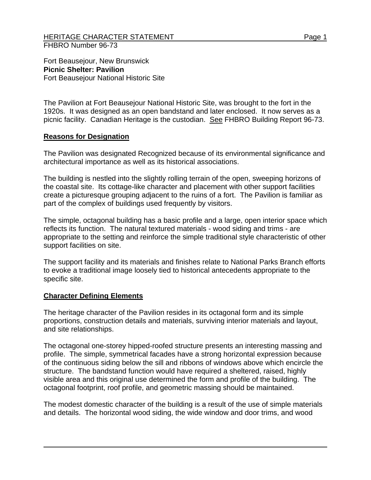## HERITAGE CHARACTER STATEMENT FRAME AND RESERVE THE Page 1 FHBRO Number 96-73

Fort Beausejour, New Brunswick **Picnic Shelter: Pavilion** Fort Beausejour National Historic Site

The Pavilion at Fort Beausejour National Historic Site, was brought to the fort in the 1920s. It was designed as an open bandstand and later enclosed. It now serves as a picnic facility. Canadian Heritage is the custodian. See FHBRO Building Report 96-73.

## **Reasons for Designation**

The Pavilion was designated Recognized because of its environmental significance and architectural importance as well as its historical associations.

The building is nestled into the slightly rolling terrain of the open, sweeping horizons of the coastal site. Its cottage-like character and placement with other support facilities create a picturesque grouping adjacent to the ruins of a fort. The Pavilion is familiar as part of the complex of buildings used frequently by visitors.

The simple, octagonal building has a basic profile and a large, open interior space which reflects its function. The natural textured materials - wood siding and trims - are appropriate to the setting and reinforce the simple traditional style characteristic of other support facilities on site.

The support facility and its materials and finishes relate to National Parks Branch efforts to evoke a traditional image loosely tied to historical antecedents appropriate to the specific site.

## **Character Defining Elements**

The heritage character of the Pavilion resides in its octagonal form and its simple proportions, construction details and materials, surviving interior materials and layout, and site relationships.

The octagonal one-storey hipped-roofed structure presents an interesting massing and profile. The simple, symmetrical facades have a strong horizontal expression because of the continuous siding below the sill and ribbons of windows above which encircle the structure. The bandstand function would have required a sheltered, raised, highly visible area and this original use determined the form and profile of the building. The octagonal footprint, roof profile, and geometric massing should be maintained.

The modest domestic character of the building is a result of the use of simple materials and details. The horizontal wood siding, the wide window and door trims, and wood